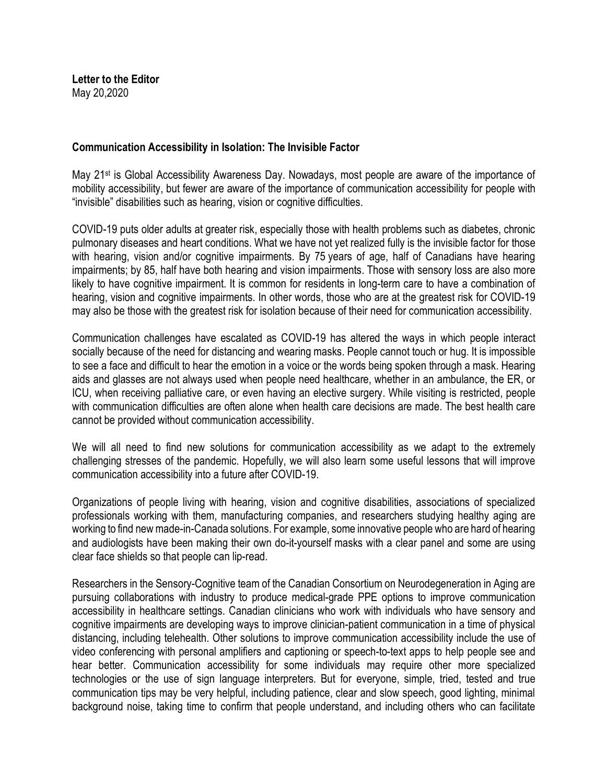**Letter to the Editor** May 20,2020

## **Communication Accessibility in Isolation: The Invisible Factor**

May 21st is Global Accessibility Awareness Day. Nowadays, most people are aware of the importance of mobility accessibility, but fewer are aware of the importance of communication accessibility for people with "invisible" disabilities such as hearing, vision or cognitive difficulties.

COVID-19 puts older adults at greater risk, especially those with health problems such as diabetes, chronic pulmonary diseases and heart conditions. What we have not yet realized fully is the invisible factor for those with hearing, vision and/or cognitive impairments. By 75 years of age, half of Canadians have hearing impairments; by 85, half have both hearing and vision impairments. Those with sensory loss are also more likely to have cognitive impairment. It is common for residents in long-term care to have a combination of hearing, vision and cognitive impairments. In other words, those who are at the greatest risk for COVID-19 may also be those with the greatest risk for isolation because of their need for communication accessibility.

Communication challenges have escalated as COVID-19 has altered the ways in which people interact socially because of the need for distancing and wearing masks. People cannot touch or hug. It is impossible to see a face and difficult to hear the emotion in a voice or the words being spoken through a mask. Hearing aids and glasses are not always used when people need healthcare, whether in an ambulance, the ER, or ICU, when receiving palliative care, or even having an elective surgery. While visiting is restricted, people with communication difficulties are often alone when health care decisions are made. The best health care cannot be provided without communication accessibility.

We will all need to find new solutions for communication accessibility as we adapt to the extremely challenging stresses of the pandemic. Hopefully, we will also learn some useful lessons that will improve communication accessibility into a future after COVID-19.

Organizations of people living with hearing, vision and cognitive disabilities, associations of specialized professionals working with them, manufacturing companies, and researchers studying healthy aging are working to find new made-in-Canada solutions. For example, some innovative people who are hard of hearing and audiologists have been making their own do-it-yourself masks with a clear panel and some are using clear face shields so that people can lip-read.

Researchers in the Sensory-Cognitive team of the Canadian Consortium on Neurodegeneration in Aging are pursuing collaborations with industry to produce medical-grade PPE options to improve communication accessibility in healthcare settings. Canadian clinicians who work with individuals who have sensory and cognitive impairments are developing ways to improve clinician-patient communication in a time of physical distancing, including telehealth. Other solutions to improve communication accessibility include the use of video conferencing with personal amplifiers and captioning or speech-to-text apps to help people see and hear better. Communication accessibility for some individuals may require other more specialized technologies or the use of sign language interpreters. But for everyone, simple, tried, tested and true communication tips may be very helpful, including patience, clear and slow speech, good lighting, minimal background noise, taking time to confirm that people understand, and including others who can facilitate